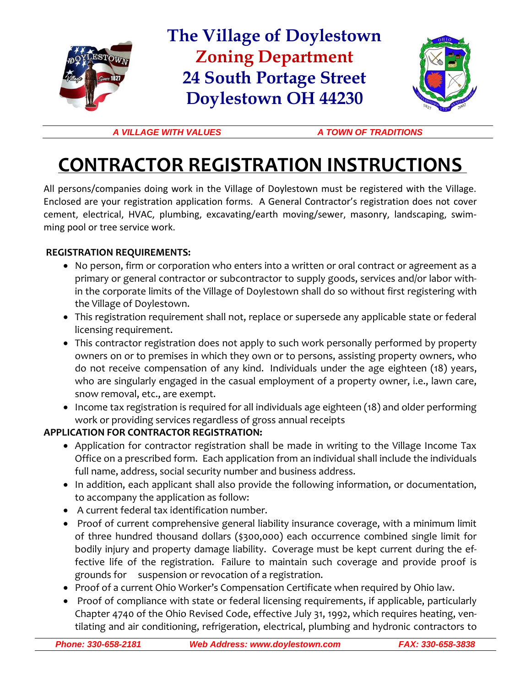

### **The Village of Doylestown Zoning Department 24 South Portage Street Doylestown OH 44230**



*A VILLAGE WITH VALUES A TOWN OF TRADITIONS*

# **CONTRACTOR REGISTRATION INSTRUCTIONS**

All persons/companies doing work in the Village of Doylestown must be registered with the Village. Enclosed are your registration application forms. A General Contractor's registration does not cover cement, electrical, HVAC, plumbing, excavating/earth moving/sewer, masonry, landscaping, swimming pool or tree service work.

#### **REGISTRATION REQUIREMENTS:**

- No person, firm or corporation who enters into a written or oral contract or agreement as a primary or general contractor or subcontractor to supply goods, services and/or labor within the corporate limits of the Village of Doylestown shall do so without first registering with the Village of Doylestown.
- This registration requirement shall not, replace or supersede any applicable state or federal licensing requirement.
- This contractor registration does not apply to such work personally performed by property owners on or to premises in which they own or to persons, assisting property owners, who do not receive compensation of any kind. Individuals under the age eighteen (18) years, who are singularly engaged in the casual employment of a property owner, i.e., lawn care, snow removal, etc., are exempt.
- Income tax registration is required for all individuals age eighteen (18) and older performing work or providing services regardless of gross annual receipts

#### **APPLICATION FOR CONTRACTOR REGISTRATION:**

- Application for contractor registration shall be made in writing to the Village Income Tax Office on a prescribed form. Each application from an individual shall include the individuals full name, address, social security number and business address.
- In addition, each applicant shall also provide the following information, or documentation, to accompany the application as follow:
- A current federal tax identification number.
- Proof of current comprehensive general liability insurance coverage, with a minimum limit of three hundred thousand dollars (\$300,000) each occurrence combined single limit for bodily injury and property damage liability. Coverage must be kept current during the effective life of the registration. Failure to maintain such coverage and provide proof is grounds for suspension or revocation of a registration.
- Proof of a current Ohio Worker's Compensation Certificate when required by Ohio law.
- Proof of compliance with state or federal licensing requirements, if applicable, particularly Chapter 4740 of the Ohio Revised Code, effective July 31, 1992, which requires heating, ventilating and air conditioning, refrigeration, electrical, plumbing and hydronic contractors to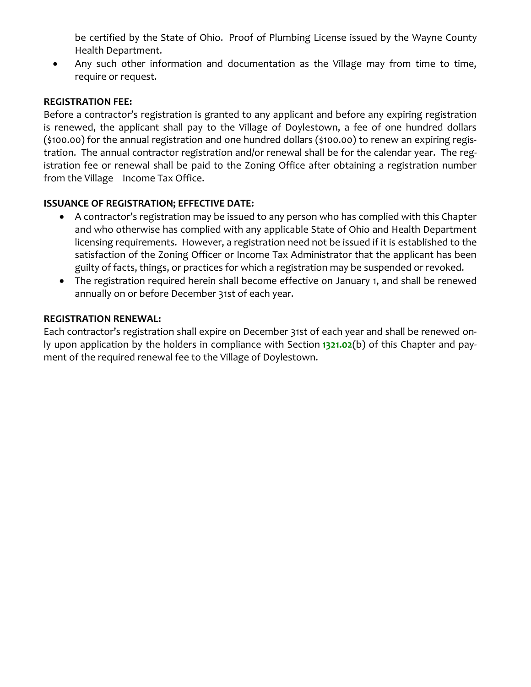be certified by the State of Ohio. Proof of Plumbing License issued by the Wayne County Health Department.

• Any such other information and documentation as the Village may from time to time, require or request.

#### **REGISTRATION FEE:**

Before a contractor's registration is granted to any applicant and before any expiring registration is renewed, the applicant shall pay to the Village of Doylestown, a fee of one hundred dollars (\$100.00) for the annual registration and one hundred dollars (\$100.00) to renew an expiring registration. The annual contractor registration and/or renewal shall be for the calendar year. The registration fee or renewal shall be paid to the Zoning Office after obtaining a registration number from the Village Income Tax Office.

#### **ISSUANCE OF REGISTRATION; EFFECTIVE DATE:**

- A contractor's registration may be issued to any person who has complied with this Chapter and who otherwise has complied with any applicable State of Ohio and Health Department licensing requirements. However, a registration need not be issued if it is established to the satisfaction of the Zoning Officer or Income Tax Administrator that the applicant has been guilty of facts, things, or practices for which a registration may be suspended or revoked.
- The registration required herein shall become effective on January 1, and shall be renewed annually on or before December 31st of each year.

#### **REGISTRATION RENEWAL:**

Each contractor's registration shall expire on December 31st of each year and shall be renewed only upon application by the holders in compliance with Section **1321.02**(b) of this Chapter and payment of the required renewal fee to the Village of Doylestown.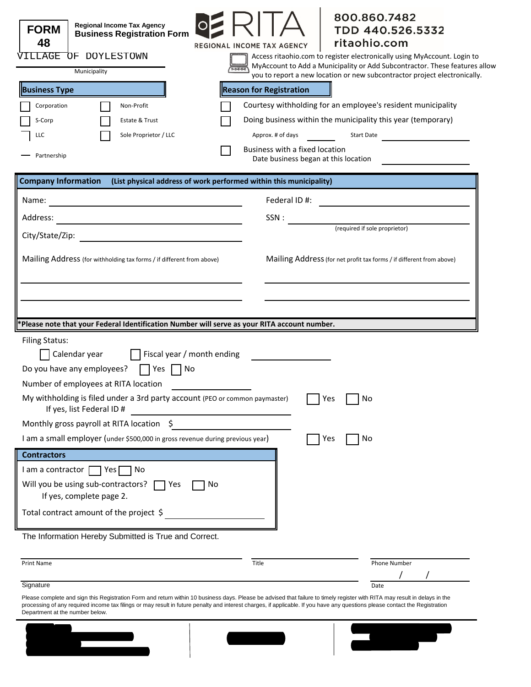| <b>Regional Income Tax Agency</b><br><b>FORM</b><br><b>Business Registration Form</b><br>48<br>VILLAGE<br>OF DOYLESTOWN<br>Municipality | 800.860.7482<br>TDD 440.526.5332<br>ritaohio.com<br>REGIONAL INCOME TAX AGENCY<br>Access ritaohio.com to register electronically using MyAccount. Login to<br>MyAccount to Add a Municipality or Add Subcontractor. These features allow                                                                                                                    |
|-----------------------------------------------------------------------------------------------------------------------------------------|-------------------------------------------------------------------------------------------------------------------------------------------------------------------------------------------------------------------------------------------------------------------------------------------------------------------------------------------------------------|
|                                                                                                                                         | you to report a new location or new subcontractor project electronically.                                                                                                                                                                                                                                                                                   |
| <b>Business Type</b>                                                                                                                    | <b>Reason for Registration</b>                                                                                                                                                                                                                                                                                                                              |
| Corporation<br>Non-Profit                                                                                                               | Courtesy withholding for an employee's resident municipality                                                                                                                                                                                                                                                                                                |
| S-Corp<br>Estate & Trust                                                                                                                | Doing business within the municipality this year (temporary)                                                                                                                                                                                                                                                                                                |
| Sole Proprietor / LLC<br>LLC                                                                                                            | Approx. # of days<br>Start Date                                                                                                                                                                                                                                                                                                                             |
| Partnership                                                                                                                             | Business with a fixed location<br>Date business began at this location                                                                                                                                                                                                                                                                                      |
| <b>Company Information</b>                                                                                                              | (List physical address of work performed within this municipality)                                                                                                                                                                                                                                                                                          |
| Name:                                                                                                                                   | Federal ID#:                                                                                                                                                                                                                                                                                                                                                |
| Address:                                                                                                                                | SSN:                                                                                                                                                                                                                                                                                                                                                        |
|                                                                                                                                         | (required if sole proprietor)                                                                                                                                                                                                                                                                                                                               |
|                                                                                                                                         |                                                                                                                                                                                                                                                                                                                                                             |
| *Please note that your Federal Identification Number will serve as your RITA account number.                                            |                                                                                                                                                                                                                                                                                                                                                             |
| <b>Filing Status:</b>                                                                                                                   |                                                                                                                                                                                                                                                                                                                                                             |
| $\Box$ Calendar year $\Box$ Fiscal year / month ending                                                                                  |                                                                                                                                                                                                                                                                                                                                                             |
| Do you have any employees?<br><b>Paragona</b><br>$\blacksquare$ $\blacksquare$ $\blacksquare$                                           |                                                                                                                                                                                                                                                                                                                                                             |
| Number of employees at RITA location                                                                                                    |                                                                                                                                                                                                                                                                                                                                                             |
| My withholding is filed under a 3rd party account (PEO or common paymaster)<br>If yes, list Federal ID #                                | Yes<br>No                                                                                                                                                                                                                                                                                                                                                   |
| Monthly gross payroll at RITA location                                                                                                  |                                                                                                                                                                                                                                                                                                                                                             |
| I am a small employer (under \$500,000 in gross revenue during previous year)                                                           | No<br>Yes                                                                                                                                                                                                                                                                                                                                                   |
| <b>Contractors</b>                                                                                                                      |                                                                                                                                                                                                                                                                                                                                                             |
| I am a contractor   Yes<br>No.                                                                                                          |                                                                                                                                                                                                                                                                                                                                                             |
| Will you be using sub-contractors?<br>No<br>$\blacksquare$ Yes<br>If yes, complete page 2.                                              |                                                                                                                                                                                                                                                                                                                                                             |
| Total contract amount of the project \$                                                                                                 |                                                                                                                                                                                                                                                                                                                                                             |
| The Information Hereby Submitted is True and Correct.                                                                                   |                                                                                                                                                                                                                                                                                                                                                             |
| <b>Print Name</b>                                                                                                                       | Title<br>Phone Number                                                                                                                                                                                                                                                                                                                                       |
| Signature                                                                                                                               | Date                                                                                                                                                                                                                                                                                                                                                        |
| Department at the number below.                                                                                                         | Please complete and sign this Registration Form and return within 10 business days. Please be advised that failure to timely register with RITA may result in delays in the<br>processing of any required income tax filings or may result in future penalty and interest charges, if applicable. If you have any questions please contact the Registration |

**Mail to:** RITA



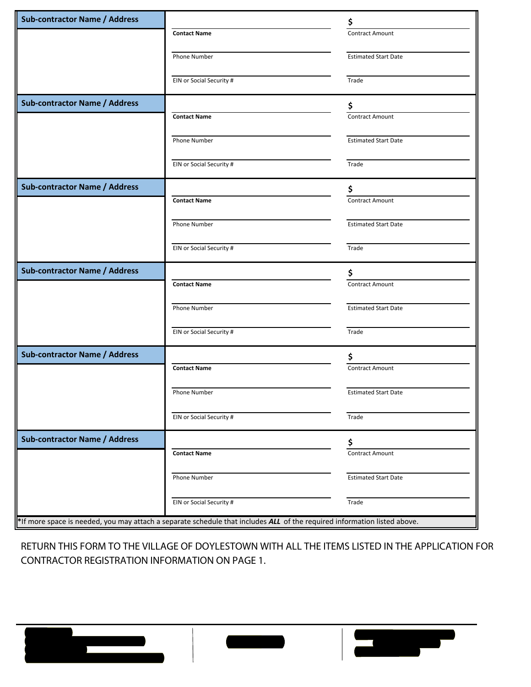| <b>Sub-contractor Name / Address</b> |                                                                                                                          | \$                          |
|--------------------------------------|--------------------------------------------------------------------------------------------------------------------------|-----------------------------|
|                                      | <b>Contact Name</b>                                                                                                      | <b>Contract Amount</b>      |
|                                      |                                                                                                                          | <b>Estimated Start Date</b> |
|                                      | Phone Number                                                                                                             |                             |
|                                      | EIN or Social Security #                                                                                                 | Trade                       |
| <b>Sub-contractor Name / Address</b> |                                                                                                                          | \$                          |
|                                      | <b>Contact Name</b>                                                                                                      | <b>Contract Amount</b>      |
|                                      | Phone Number                                                                                                             | <b>Estimated Start Date</b> |
|                                      | EIN or Social Security #                                                                                                 | Trade                       |
| <b>Sub-contractor Name / Address</b> |                                                                                                                          | \$                          |
|                                      | <b>Contact Name</b>                                                                                                      | Contract Amount             |
|                                      | Phone Number                                                                                                             | <b>Estimated Start Date</b> |
|                                      |                                                                                                                          |                             |
|                                      | EIN or Social Security #                                                                                                 | Trade                       |
| <b>Sub-contractor Name / Address</b> |                                                                                                                          | \$                          |
|                                      | <b>Contact Name</b>                                                                                                      | <b>Contract Amount</b>      |
|                                      | Phone Number                                                                                                             | <b>Estimated Start Date</b> |
|                                      | EIN or Social Security #                                                                                                 | Trade                       |
| <b>Sub-contractor Name / Address</b> |                                                                                                                          | \$                          |
|                                      | <b>Contact Name</b>                                                                                                      | <b>Contract Amount</b>      |
|                                      | Phone Number                                                                                                             | <b>Estimated Start Date</b> |
|                                      | EIN or Social Security #                                                                                                 | Trade                       |
| <b>Sub-contractor Name / Address</b> |                                                                                                                          | \$                          |
|                                      | <b>Contact Name</b>                                                                                                      | Contract Amount             |
|                                      | Phone Number                                                                                                             | <b>Estimated Start Date</b> |
|                                      |                                                                                                                          |                             |
|                                      | EIN or Social Security #                                                                                                 | Trade                       |
|                                      | *If more space is needed, you may attach a separate schedule that includes ALL of the required information listed above. |                             |

RETURN THIS FORM TO THE VILLAGE OF DOYLESTOWN WITH ALL THE ITEMS LISTED IN THE APPLICATION FOR CONTRACTOR REGISTRATION INFORMATION ON PAGE 1.

**Mail to:** RITA